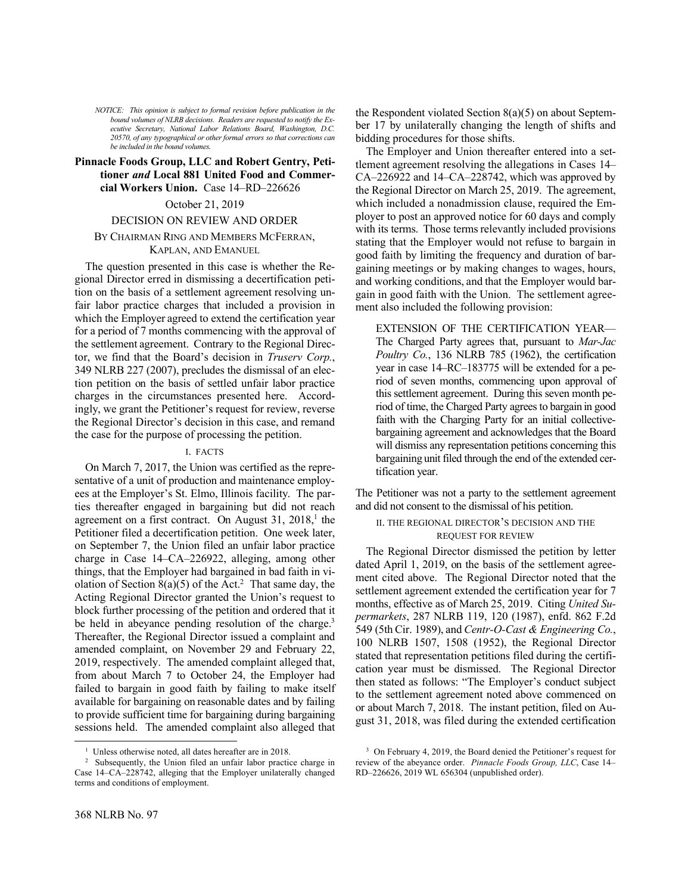*NOTICE: This opinion is subject to formal revision before publication in the bound volumes of NLRB decisions. Readers are requested to notify the Executive Secretary, National Labor Relations Board, Washington, D.C. 20570, of any typographical or other formal errors so that corrections can be included in the bound volumes.*

## **Pinnacle Foods Group, LLC and Robert Gentry, Petitioner** *and* **Local 881 United Food and Commercial Workers Union.** Case 14–RD–226626

#### October 21, 2019

### DECISION ON REVIEW AND ORDER

# BY CHAIRMAN RING AND MEMBERS MCFERRAN, KAPLAN, AND EMANUEL

The question presented in this case is whether the Regional Director erred in dismissing a decertification petition on the basis of a settlement agreement resolving unfair labor practice charges that included a provision in which the Employer agreed to extend the certification year for a period of 7 months commencing with the approval of the settlement agreement. Contrary to the Regional Director, we find that the Board's decision in *Truserv Corp.*, 349 NLRB 227 (2007), precludes the dismissal of an election petition on the basis of settled unfair labor practice charges in the circumstances presented here. Accordingly, we grant the Petitioner's request for review, reverse the Regional Director's decision in this case, and remand the case for the purpose of processing the petition.

#### I. FACTS

On March 7, 2017, the Union was certified as the representative of a unit of production and maintenance employees at the Employer's St. Elmo, Illinois facility. The parties thereafter engaged in bargaining but did not reach agreement on a first contract. On August  $31, 2018$ ,<sup>1</sup> the Petitioner filed a decertification petition. One week later, on September 7, the Union filed an unfair labor practice charge in Case 14–CA–226922, alleging, among other things, that the Employer had bargained in bad faith in violation of Section  $8(a)(5)$  of the Act.<sup>2</sup> That same day, the Acting Regional Director granted the Union's request to block further processing of the petition and ordered that it be held in abeyance pending resolution of the charge.<sup>3</sup> Thereafter, the Regional Director issued a complaint and amended complaint, on November 29 and February 22, 2019, respectively. The amended complaint alleged that, from about March 7 to October 24, the Employer had failed to bargain in good faith by failing to make itself available for bargaining on reasonable dates and by failing to provide sufficient time for bargaining during bargaining sessions held. The amended complaint also alleged that

the Respondent violated Section 8(a)(5) on about September 17 by unilaterally changing the length of shifts and bidding procedures for those shifts.

The Employer and Union thereafter entered into a settlement agreement resolving the allegations in Cases 14– CA–226922 and 14–CA–228742, which was approved by the Regional Director on March 25, 2019. The agreement, which included a nonadmission clause, required the Employer to post an approved notice for 60 days and comply with its terms. Those terms relevantly included provisions stating that the Employer would not refuse to bargain in good faith by limiting the frequency and duration of bargaining meetings or by making changes to wages, hours, and working conditions, and that the Employer would bargain in good faith with the Union. The settlement agreement also included the following provision:

EXTENSION OF THE CERTIFICATION YEAR— The Charged Party agrees that, pursuant to *Mar-Jac Poultry Co.*, 136 NLRB 785 (1962), the certification year in case 14–RC–183775 will be extended for a period of seven months, commencing upon approval of this settlement agreement. During this seven month period of time, the Charged Party agrees to bargain in good faith with the Charging Party for an initial collectivebargaining agreement and acknowledges that the Board will dismiss any representation petitions concerning this bargaining unit filed through the end of the extended certification year.

The Petitioner was not a party to the settlement agreement and did not consent to the dismissal of his petition.

# II. THE REGIONAL DIRECTOR'S DECISION AND THE REQUEST FOR REVIEW

The Regional Director dismissed the petition by letter dated April 1, 2019, on the basis of the settlement agreement cited above. The Regional Director noted that the settlement agreement extended the certification year for 7 months, effective as of March 25, 2019. Citing *United Supermarkets*, 287 NLRB 119, 120 (1987), enfd. 862 F.2d 549 (5th Cir. 1989), and *Centr-O-Cast & Engineering Co.*, 100 NLRB 1507, 1508 (1952), the Regional Director stated that representation petitions filed during the certification year must be dismissed. The Regional Director then stated as follows: "The Employer's conduct subject to the settlement agreement noted above commenced on or about March 7, 2018. The instant petition, filed on August 31, 2018, was filed during the extended certification

-

<sup>&</sup>lt;sup>1</sup> Unless otherwise noted, all dates hereafter are in 2018.

<sup>2</sup> Subsequently, the Union filed an unfair labor practice charge in Case 14–CA–228742, alleging that the Employer unilaterally changed terms and conditions of employment.

<sup>&</sup>lt;sup>3</sup> On February 4, 2019, the Board denied the Petitioner's request for review of the abeyance order. *Pinnacle Foods Group, LLC*, Case 14– RD–226626, 2019 WL 656304 (unpublished order).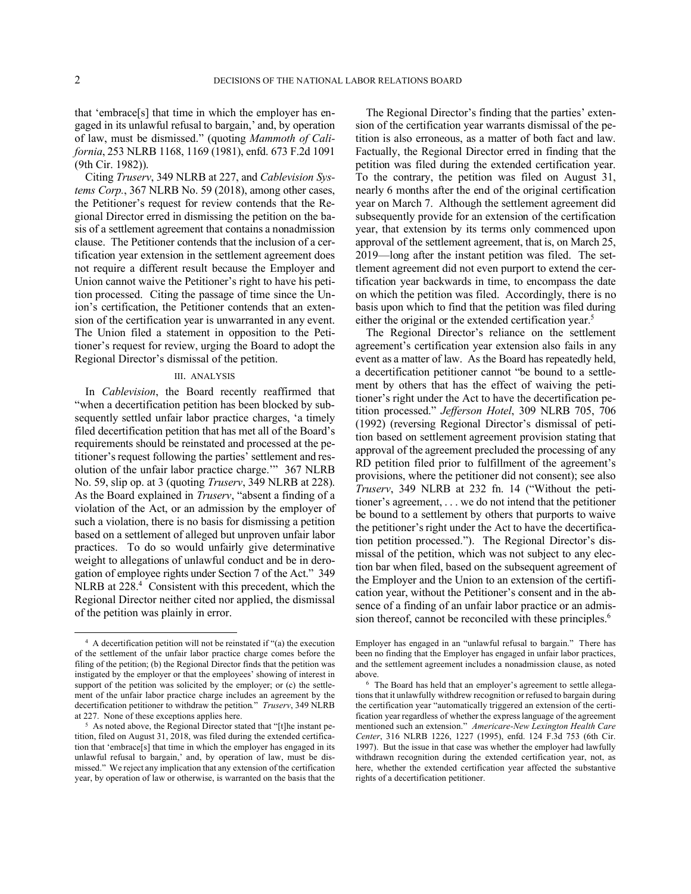that 'embrace[s] that time in which the employer has engaged in its unlawful refusal to bargain,' and, by operation of law, must be dismissed." (quoting *Mammoth of California*, 253 NLRB 1168, 1169 (1981), enfd. 673 F.2d 1091 (9th Cir. 1982)).

Citing *Truserv*, 349 NLRB at 227, and *Cablevision Systems Corp.*, 367 NLRB No. 59 (2018), among other cases, the Petitioner's request for review contends that the Regional Director erred in dismissing the petition on the basis of a settlement agreement that contains a nonadmission clause. The Petitioner contends that the inclusion of a certification year extension in the settlement agreement does not require a different result because the Employer and Union cannot waive the Petitioner's right to have his petition processed. Citing the passage of time since the Union's certification, the Petitioner contends that an extension of the certification year is unwarranted in any event. The Union filed a statement in opposition to the Petitioner's request for review, urging the Board to adopt the Regional Director's dismissal of the petition.

#### III. ANALYSIS

In *Cablevision*, the Board recently reaffirmed that "when a decertification petition has been blocked by subsequently settled unfair labor practice charges, 'a timely filed decertification petition that has met all of the Board's requirements should be reinstated and processed at the petitioner's request following the parties' settlement and resolution of the unfair labor practice charge.'" 367 NLRB No. 59, slip op. at 3 (quoting *Truserv*, 349 NLRB at 228). As the Board explained in *Truserv*, "absent a finding of a violation of the Act, or an admission by the employer of such a violation, there is no basis for dismissing a petition based on a settlement of alleged but unproven unfair labor practices. To do so would unfairly give determinative weight to allegations of unlawful conduct and be in derogation of employee rights under Section 7 of the Act." 349 NLRB at 228.<sup>4</sup> Consistent with this precedent, which the Regional Director neither cited nor applied, the dismissal of the petition was plainly in error.

The Regional Director's finding that the parties' extension of the certification year warrants dismissal of the petition is also erroneous, as a matter of both fact and law. Factually, the Regional Director erred in finding that the petition was filed during the extended certification year. To the contrary, the petition was filed on August 31, nearly 6 months after the end of the original certification year on March 7. Although the settlement agreement did subsequently provide for an extension of the certification year, that extension by its terms only commenced upon approval of the settlement agreement, that is, on March 25, 2019—long after the instant petition was filed. The settlement agreement did not even purport to extend the certification year backwards in time, to encompass the date on which the petition was filed. Accordingly, there is no basis upon which to find that the petition was filed during either the original or the extended certification year.<sup>5</sup>

The Regional Director's reliance on the settlement agreement's certification year extension also fails in any event as a matter of law. As the Board has repeatedly held, a decertification petitioner cannot "be bound to a settlement by others that has the effect of waiving the petitioner's right under the Act to have the decertification petition processed." *Jefferson Hotel*, 309 NLRB 705, 706 (1992) (reversing Regional Director's dismissal of petition based on settlement agreement provision stating that approval of the agreement precluded the processing of any RD petition filed prior to fulfillment of the agreement's provisions, where the petitioner did not consent); see also *Truserv*, 349 NLRB at 232 fn. 14 ("Without the petitioner's agreement, . . . we do not intend that the petitioner be bound to a settlement by others that purports to waive the petitioner's right under the Act to have the decertification petition processed."). The Regional Director's dismissal of the petition, which was not subject to any election bar when filed, based on the subsequent agreement of the Employer and the Union to an extension of the certification year, without the Petitioner's consent and in the absence of a finding of an unfair labor practice or an admission thereof, cannot be reconciled with these principles.<sup>6</sup>

<sup>4</sup> A decertification petition will not be reinstated if "(a) the execution of the settlement of the unfair labor practice charge comes before the filing of the petition; (b) the Regional Director finds that the petition was instigated by the employer or that the employees' showing of interest in support of the petition was solicited by the employer; or (c) the settlement of the unfair labor practice charge includes an agreement by the decertification petitioner to withdraw the petition*.*" *Truserv*, 349 NLRB at 227. None of these exceptions applies here.

<sup>&</sup>lt;sup>5</sup> As noted above, the Regional Director stated that "[t]he instant petition, filed on August 31, 2018, was filed during the extended certification that 'embrace[s] that time in which the employer has engaged in its unlawful refusal to bargain,' and, by operation of law, must be dismissed." We reject any implication that any extension of the certification year, by operation of law or otherwise, is warranted on the basis that the

Employer has engaged in an "unlawful refusal to bargain." There has been no finding that the Employer has engaged in unfair labor practices, and the settlement agreement includes a nonadmission clause, as noted above.

<sup>6</sup> The Board has held that an employer's agreement to settle allegations that it unlawfully withdrew recognition or refused to bargain during the certification year "automatically triggered an extension of the certification year regardless of whether the express language of the agreement mentioned such an extension." *Americare-New Lexington Health Care Center*, 316 NLRB 1226, 1227 (1995), enfd. 124 F.3d 753 (6th Cir. 1997). But the issue in that case was whether the employer had lawfully withdrawn recognition during the extended certification year, not, as here, whether the extended certification year affected the substantive rights of a decertification petitioner.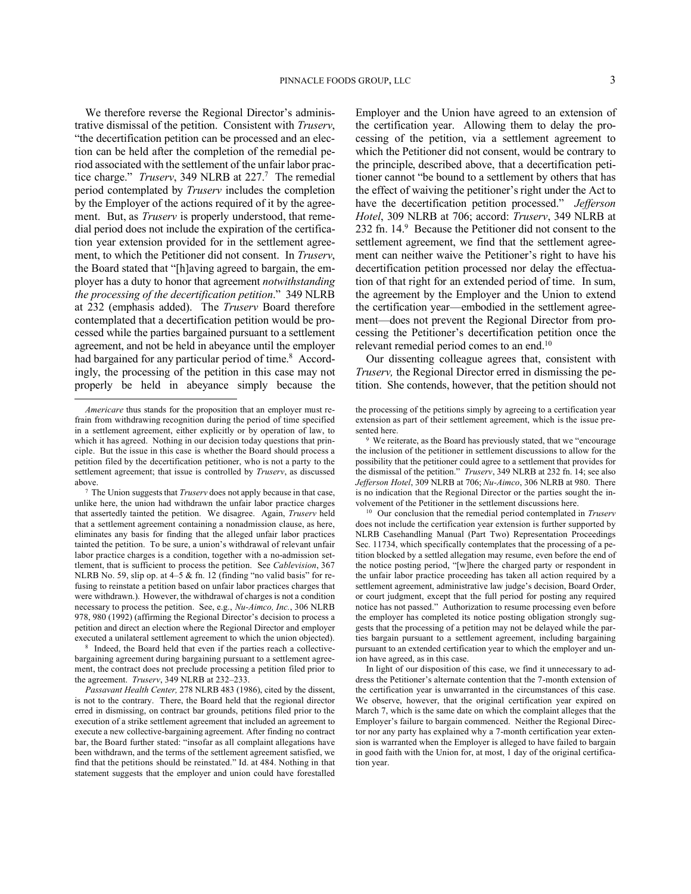We therefore reverse the Regional Director's administrative dismissal of the petition. Consistent with *Truserv*, "the decertification petition can be processed and an election can be held after the completion of the remedial period associated with the settlement of the unfair labor practice charge." *Truserv*, 349 NLRB at 227.<sup>7</sup> The remedial period contemplated by *Truserv* includes the completion by the Employer of the actions required of it by the agreement. But, as *Truserv* is properly understood, that remedial period does not include the expiration of the certification year extension provided for in the settlement agreement, to which the Petitioner did not consent. In *Truserv*, the Board stated that "[h]aving agreed to bargain, the employer has a duty to honor that agreement *notwithstanding the processing of the decertification petition*." 349 NLRB at 232 (emphasis added). The *Truserv* Board therefore contemplated that a decertification petition would be processed while the parties bargained pursuant to a settlement agreement, and not be held in abeyance until the employer had bargained for any particular period of time.<sup>8</sup> Accordingly, the processing of the petition in this case may not properly be held in abeyance simply because the

-

Employer and the Union have agreed to an extension of the certification year. Allowing them to delay the processing of the petition, via a settlement agreement to which the Petitioner did not consent, would be contrary to the principle, described above, that a decertification petitioner cannot "be bound to a settlement by others that has the effect of waiving the petitioner's right under the Act to have the decertification petition processed." *Jefferson Hotel*, 309 NLRB at 706; accord: *Truserv*, 349 NLRB at 232 fn. 14. 9 Because the Petitioner did not consent to the settlement agreement, we find that the settlement agreement can neither waive the Petitioner's right to have his decertification petition processed nor delay the effectuation of that right for an extended period of time. In sum, the agreement by the Employer and the Union to extend the certification year—embodied in the settlement agreement—does not prevent the Regional Director from processing the Petitioner's decertification petition once the relevant remedial period comes to an end.<sup>10</sup>

Our dissenting colleague agrees that, consistent with *Truserv,* the Regional Director erred in dismissing the petition. She contends, however, that the petition should not

*Americare* thus stands for the proposition that an employer must refrain from withdrawing recognition during the period of time specified in a settlement agreement, either explicitly or by operation of law, to which it has agreed. Nothing in our decision today questions that principle. But the issue in this case is whether the Board should process a petition filed by the decertification petitioner, who is not a party to the settlement agreement; that issue is controlled by *Truserv*, as discussed above.

<sup>7</sup> The Union suggests that *Truserv* does not apply because in that case, unlike here, the union had withdrawn the unfair labor practice charges that assertedly tainted the petition. We disagree. Again, *Truserv* held that a settlement agreement containing a nonadmission clause, as here, eliminates any basis for finding that the alleged unfair labor practices tainted the petition. To be sure, a union's withdrawal of relevant unfair labor practice charges is a condition, together with a no-admission settlement, that is sufficient to process the petition. See *Cablevision*, 367 NLRB No. 59, slip op. at  $4-5 \&$  fn. 12 (finding "no valid basis" for refusing to reinstate a petition based on unfair labor practices charges that were withdrawn.). However, the withdrawal of charges is not a condition necessary to process the petition. See, e.g., *Nu-Aimco, Inc.*, 306 NLRB 978, 980 (1992) (affirming the Regional Director's decision to process a petition and direct an election where the Regional Director and employer executed a unilateral settlement agreement to which the union objected).

<sup>&</sup>lt;sup>8</sup> Indeed, the Board held that even if the parties reach a collectivebargaining agreement during bargaining pursuant to a settlement agreement, the contract does not preclude processing a petition filed prior to the agreement. *Truserv*, 349 NLRB at 232–233.

*Passavant Health Center,* 278 NLRB 483 (1986), cited by the dissent, is not to the contrary. There, the Board held that the regional director erred in dismissing, on contract bar grounds, petitions filed prior to the execution of a strike settlement agreement that included an agreement to execute a new collective-bargaining agreement. After finding no contract bar, the Board further stated: "insofar as all complaint allegations have been withdrawn, and the terms of the settlement agreement satisfied, we find that the petitions should be reinstated." Id. at 484. Nothing in that statement suggests that the employer and union could have forestalled

the processing of the petitions simply by agreeing to a certification year extension as part of their settlement agreement, which is the issue presented here.

<sup>9</sup> We reiterate, as the Board has previously stated, that we "encourage the inclusion of the petitioner in settlement discussions to allow for the possibility that the petitioner could agree to a settlement that provides for the dismissal of the petition." *Truserv*, 349 NLRB at 232 fn. 14; see also *Jefferson Hotel*, 309 NLRB at 706; *Nu-Aimco*, 306 NLRB at 980. There is no indication that the Regional Director or the parties sought the involvement of the Petitioner in the settlement discussions here.

<sup>10</sup> Our conclusion that the remedial period contemplated in *Truserv*  does not include the certification year extension is further supported by NLRB Casehandling Manual (Part Two) Representation Proceedings Sec. 11734, which specifically contemplates that the processing of a petition blocked by a settled allegation may resume, even before the end of the notice posting period, "[w]here the charged party or respondent in the unfair labor practice proceeding has taken all action required by a settlement agreement, administrative law judge's decision, Board Order, or court judgment, except that the full period for posting any required notice has not passed." Authorization to resume processing even before the employer has completed its notice posting obligation strongly suggests that the processing of a petition may not be delayed while the parties bargain pursuant to a settlement agreement, including bargaining pursuant to an extended certification year to which the employer and union have agreed, as in this case.

In light of our disposition of this case, we find it unnecessary to address the Petitioner's alternate contention that the 7-month extension of the certification year is unwarranted in the circumstances of this case. We observe, however, that the original certification year expired on March 7, which is the same date on which the complaint alleges that the Employer's failure to bargain commenced. Neither the Regional Director nor any party has explained why a 7-month certification year extension is warranted when the Employer is alleged to have failed to bargain in good faith with the Union for, at most, 1 day of the original certification year.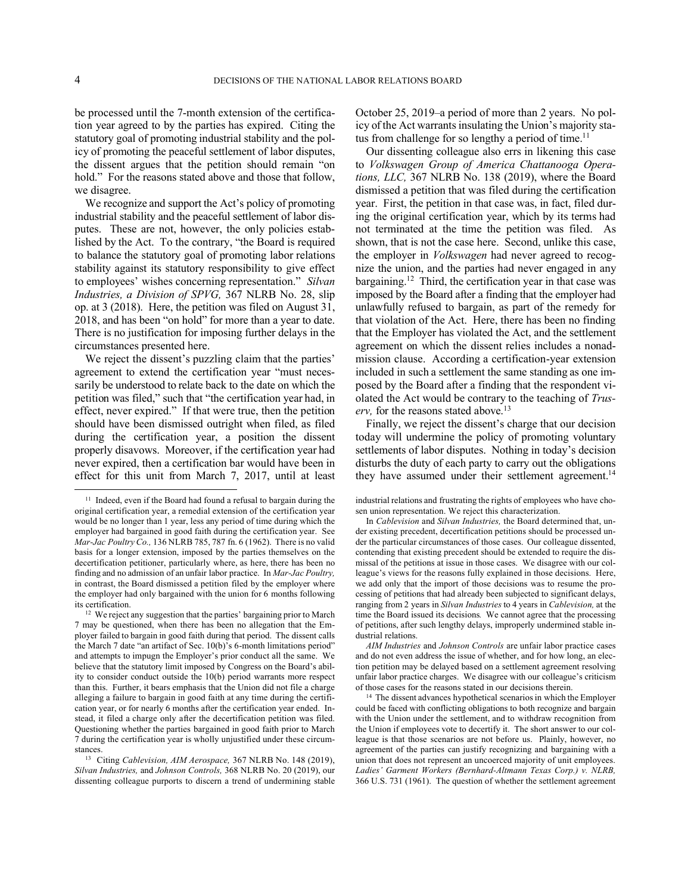be processed until the 7-month extension of the certification year agreed to by the parties has expired. Citing the statutory goal of promoting industrial stability and the policy of promoting the peaceful settlement of labor disputes, the dissent argues that the petition should remain "on hold." For the reasons stated above and those that follow, we disagree.

We recognize and support the Act's policy of promoting industrial stability and the peaceful settlement of labor disputes. These are not, however, the only policies established by the Act. To the contrary, "the Board is required to balance the statutory goal of promoting labor relations stability against its statutory responsibility to give effect to employees' wishes concerning representation." *Silvan Industries, a Division of SPVG,* 367 NLRB No. 28, slip op. at 3 (2018). Here, the petition was filed on August 31, 2018, and has been "on hold" for more than a year to date. There is no justification for imposing further delays in the circumstances presented here.

We reject the dissent's puzzling claim that the parties' agreement to extend the certification year "must necessarily be understood to relate back to the date on which the petition was filed," such that "the certification year had, in effect, never expired." If that were true, then the petition should have been dismissed outright when filed, as filed during the certification year, a position the dissent properly disavows. Moreover, if the certification year had never expired, then a certification bar would have been in effect for this unit from March 7, 2017, until at least October 25, 2019–a period of more than 2 years. No policy of the Act warrants insulating the Union's majority status from challenge for so lengthy a period of time.<sup>11</sup>

Our dissenting colleague also errs in likening this case to *Volkswagen Group of America Chattanooga Operations, LLC,* 367 NLRB No. 138 (2019), where the Board dismissed a petition that was filed during the certification year. First, the petition in that case was, in fact, filed during the original certification year, which by its terms had not terminated at the time the petition was filed. As shown, that is not the case here. Second, unlike this case, the employer in *Volkswagen* had never agreed to recognize the union, and the parties had never engaged in any bargaining.<sup>12</sup> Third, the certification year in that case was imposed by the Board after a finding that the employer had unlawfully refused to bargain, as part of the remedy for that violation of the Act. Here, there has been no finding that the Employer has violated the Act, and the settlement agreement on which the dissent relies includes a nonadmission clause. According a certification-year extension included in such a settlement the same standing as one imposed by the Board after a finding that the respondent violated the Act would be contrary to the teaching of *Truserv*, for the reasons stated above.<sup>13</sup>

Finally, we reject the dissent's charge that our decision today will undermine the policy of promoting voluntary settlements of labor disputes. Nothing in today's decision disturbs the duty of each party to carry out the obligations they have assumed under their settlement agreement.<sup>14</sup>

<sup>&</sup>lt;sup>11</sup> Indeed, even if the Board had found a refusal to bargain during the original certification year, a remedial extension of the certification year would be no longer than 1 year, less any period of time during which the employer had bargained in good faith during the certification year. See *Mar-Jac Poultry Co.,* 136 NLRB 785, 787 fn. 6 (1962). There is no valid basis for a longer extension, imposed by the parties themselves on the decertification petitioner, particularly where, as here, there has been no finding and no admission of an unfair labor practice. In *Mar-Jac Poultry,*  in contrast, the Board dismissed a petition filed by the employer where the employer had only bargained with the union for 6 months following its certification.

<sup>12</sup> We reject any suggestion that the parties' bargaining prior to March 7 may be questioned, when there has been no allegation that the Employer failed to bargain in good faith during that period. The dissent calls the March 7 date "an artifact of Sec. 10(b)'s 6-month limitations period" and attempts to impugn the Employer's prior conduct all the same. We believe that the statutory limit imposed by Congress on the Board's ability to consider conduct outside the 10(b) period warrants more respect than this. Further, it bears emphasis that the Union did not file a charge alleging a failure to bargain in good faith at any time during the certification year, or for nearly 6 months after the certification year ended. Instead, it filed a charge only after the decertification petition was filed. Questioning whether the parties bargained in good faith prior to March 7 during the certification year is wholly unjustified under these circumstances.

<sup>13</sup> Citing *Cablevision, AIM Aerospace,* 367 NLRB No. 148 (2019), *Silvan Industries,* and *Johnson Controls,* 368 NLRB No. 20 (2019), our dissenting colleague purports to discern a trend of undermining stable

industrial relations and frustrating the rights of employees who have chosen union representation. We reject this characterization.

In *Cablevision* and *Silvan Industries,* the Board determined that, under existing precedent, decertification petitions should be processed under the particular circumstances of those cases. Our colleague dissented, contending that existing precedent should be extended to require the dismissal of the petitions at issue in those cases. We disagree with our colleague's views for the reasons fully explained in those decisions. Here, we add only that the import of those decisions was to resume the processing of petitions that had already been subjected to significant delays, ranging from 2 years in *Silvan Industries* to 4 years in *Cablevision,* at the time the Board issued its decisions*.* We cannot agree that the processing of petitions, after such lengthy delays, improperly undermined stable industrial relations.

*AIM Industries* and *Johnson Controls* are unfair labor practice cases and do not even address the issue of whether, and for how long, an election petition may be delayed based on a settlement agreement resolving unfair labor practice charges. We disagree with our colleague's criticism of those cases for the reasons stated in our decisions therein.

 $14$  The dissent advances hypothetical scenarios in which the Employer could be faced with conflicting obligations to both recognize and bargain with the Union under the settlement, and to withdraw recognition from the Union if employees vote to decertify it. The short answer to our colleague is that those scenarios are not before us. Plainly, however, no agreement of the parties can justify recognizing and bargaining with a union that does not represent an uncoerced majority of unit employees. *Ladies' Garment Workers (Bernhard-Altmann Texas Corp.) v. NLRB,*  366 U.S. 731 (1961). The question of whether the settlement agreement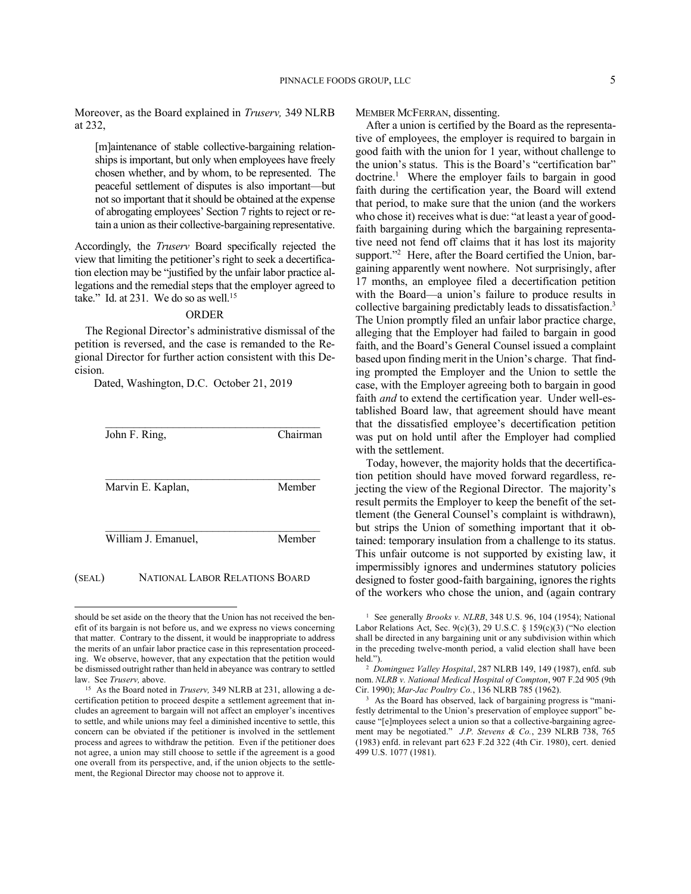Moreover, as the Board explained in *Truserv,* 349 NLRB at 232,

[m]aintenance of stable collective-bargaining relationships is important, but only when employees have freely chosen whether, and by whom, to be represented. The peaceful settlement of disputes is also important—but not so important that it should be obtained at the expense of abrogating employees' Section 7 rights to reject or retain a union as their collective-bargaining representative.

Accordingly, the *Truserv* Board specifically rejected the view that limiting the petitioner's right to seek a decertification election may be "justified by the unfair labor practice allegations and the remedial steps that the employer agreed to take." Id. at 231. We do so as well.<sup>15</sup>

## **ORDER**

The Regional Director's administrative dismissal of the petition is reversed, and the case is remanded to the Regional Director for further action consistent with this Decision.

Dated, Washington, D.C. October 21, 2019



should be set aside on the theory that the Union has not received the benefit of its bargain is not before us, and we express no views concerning that matter. Contrary to the dissent, it would be inappropriate to address the merits of an unfair labor practice case in this representation proceed-

MEMBER MCFERRAN, dissenting.

After a union is certified by the Board as the representative of employees, the employer is required to bargain in good faith with the union for 1 year, without challenge to the union's status. This is the Board's "certification bar" doctrine.<sup>1</sup> Where the employer fails to bargain in good faith during the certification year, the Board will extend that period, to make sure that the union (and the workers who chose it) receives what is due: "at least a year of goodfaith bargaining during which the bargaining representative need not fend off claims that it has lost its majority support."<sup>2</sup> Here, after the Board certified the Union, bargaining apparently went nowhere. Not surprisingly, after 17 months, an employee filed a decertification petition with the Board—a union's failure to produce results in collective bargaining predictably leads to dissatisfaction.<sup>3</sup> The Union promptly filed an unfair labor practice charge, alleging that the Employer had failed to bargain in good faith, and the Board's General Counsel issued a complaint based upon finding merit in the Union's charge. That finding prompted the Employer and the Union to settle the case, with the Employer agreeing both to bargain in good faith *and* to extend the certification year. Under well-established Board law, that agreement should have meant that the dissatisfied employee's decertification petition was put on hold until after the Employer had complied with the settlement.

Today, however, the majority holds that the decertification petition should have moved forward regardless, rejecting the view of the Regional Director. The majority's result permits the Employer to keep the benefit of the settlement (the General Counsel's complaint is withdrawn), but strips the Union of something important that it obtained: temporary insulation from a challenge to its status. This unfair outcome is not supported by existing law, it impermissibly ignores and undermines statutory policies designed to foster good-faith bargaining, ignores the rights of the workers who chose the union, and (again contrary

ing. We observe, however, that any expectation that the petition would be dismissed outright rather than held in abeyance was contrary to settled law. See *Truserv,* above.

<sup>&</sup>lt;sup>15</sup> As the Board noted in *Truserv*, 349 NLRB at 231, allowing a decertification petition to proceed despite a settlement agreement that includes an agreement to bargain will not affect an employer's incentives to settle, and while unions may feel a diminished incentive to settle, this concern can be obviated if the petitioner is involved in the settlement process and agrees to withdraw the petition. Even if the petitioner does not agree, a union may still choose to settle if the agreement is a good one overall from its perspective, and, if the union objects to the settlement, the Regional Director may choose not to approve it.

<sup>&</sup>lt;sup>1</sup> See generally *Brooks v. NLRB*, 348 U.S. 96, 104 (1954); National Labor Relations Act, Sec. 9(c)(3), 29 U.S.C. § 159(c)(3) ("No election shall be directed in any bargaining unit or any subdivision within which in the preceding twelve-month period, a valid election shall have been held.").

<sup>2</sup> *Dominguez Valley Hospital*, 287 NLRB 149, 149 (1987), enfd. sub nom. *NLRB v. National Medical Hospital of Compton*, 907 F.2d 905 (9th Cir. 1990); *Mar-Jac Poultry Co.*, 136 NLRB 785 (1962).

<sup>&</sup>lt;sup>3</sup> As the Board has observed, lack of bargaining progress is "manifestly detrimental to the Union's preservation of employee support" because "[e]mployees select a union so that a collective-bargaining agreement may be negotiated." *J.P. Stevens & Co.*, 239 NLRB 738, 765 (1983) enfd. in relevant part 623 F.2d 322 (4th Cir. 1980), cert. denied 499 U.S. 1077 (1981).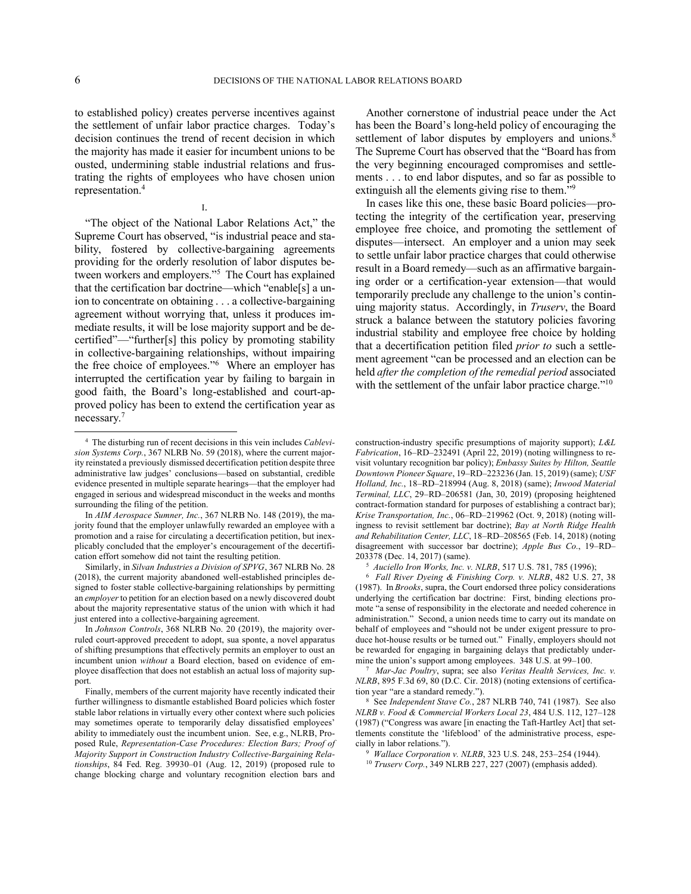to established policy) creates perverse incentives against the settlement of unfair labor practice charges. Today's decision continues the trend of recent decision in which the majority has made it easier for incumbent unions to be ousted, undermining stable industrial relations and frustrating the rights of employees who have chosen union representation.<sup>4</sup>

I.

"The object of the National Labor Relations Act," the Supreme Court has observed, "is industrial peace and stability, fostered by collective-bargaining agreements providing for the orderly resolution of labor disputes between workers and employers."<sup>5</sup> The Court has explained that the certification bar doctrine—which "enable[s] a union to concentrate on obtaining . . . a collective-bargaining agreement without worrying that, unless it produces immediate results, it will be lose majority support and be decertified"—"further[s] this policy by promoting stability in collective-bargaining relationships, without impairing the free choice of employees."<sup>6</sup> Where an employer has interrupted the certification year by failing to bargain in good faith, the Board's long-established and court-approved policy has been to extend the certification year as necessary.<sup>7</sup>

Another cornerstone of industrial peace under the Act has been the Board's long-held policy of encouraging the settlement of labor disputes by employers and unions.<sup>8</sup> The Supreme Court has observed that the "Board has from the very beginning encouraged compromises and settlements . . . to end labor disputes, and so far as possible to extinguish all the elements giving rise to them."<sup>9</sup>

In cases like this one, these basic Board policies—protecting the integrity of the certification year, preserving employee free choice, and promoting the settlement of disputes—intersect. An employer and a union may seek to settle unfair labor practice charges that could otherwise result in a Board remedy—such as an affirmative bargaining order or a certification-year extension—that would temporarily preclude any challenge to the union's continuing majority status. Accordingly, in *Truserv*, the Board struck a balance between the statutory policies favoring industrial stability and employee free choice by holding that a decertification petition filed *prior to* such a settlement agreement "can be processed and an election can be held *after the completion of the remedial period* associated with the settlement of the unfair labor practice charge."<sup>10</sup>

construction-industry specific presumptions of majority support); *L&L Fabrication*, 16–RD–232491 (April 22, 2019) (noting willingness to revisit voluntary recognition bar policy); *Embassy Suites by Hilton, Seattle Downtown Pioneer Square*, 19–RD–223236 (Jan. 15, 2019) (same); *USF Holland, Inc.*, 18–RD–218994 (Aug. 8, 2018) (same); *Inwood Material Terminal, LLC*, 29–RD–206581 (Jan, 30, 2019) (proposing heightened contract-formation standard for purposes of establishing a contract bar); *Krise Transportation, Inc.*, 06–RD–219962 (Oct. 9, 2018) (noting willingness to revisit settlement bar doctrine); *Bay at North Ridge Health and Rehabilitation Center, LLC*, 18–RD–208565 (Feb. 14, 2018) (noting disagreement with successor bar doctrine); *Apple Bus Co.*, 19–RD– 203378 (Dec. 14, 2017) (same).

<sup>5</sup> *Auciello Iron Works, Inc. v. NLRB*, 517 U.S. 781, 785 (1996);

6 *Fall River Dyeing & Finishing Corp. v. NLRB*, 482 U.S. 27, 38 (1987). In *Brooks*, supra, the Court endorsed three policy considerations underlying the certification bar doctrine: First, binding elections promote "a sense of responsibility in the electorate and needed coherence in administration." Second, a union needs time to carry out its mandate on behalf of employees and "should not be under exigent pressure to produce hot-house results or be turned out." Finally, employers should not be rewarded for engaging in bargaining delays that predictably undermine the union's support among employees. 348 U.S. at 99–100.

7 *Mar-Jac Poultry*, supra; see also *Veritas Health Services, Inc. v. NLRB*, 895 F.3d 69, 80 (D.C. Cir. 2018) (noting extensions of certification year "are a standard remedy.").

8 See *Independent Stave Co.*, 287 NLRB 740, 741 (1987). See also *NLRB v. Food & Commercial Workers Local 23*, 484 U.S. 112, 127–128 (1987) ("Congress was aware [in enacting the Taft-Hartley Act] that settlements constitute the 'lifeblood' of the administrative process, especially in labor relations.").

9 *Wallace Corporation v. NLRB*, 323 U.S. 248, 253–254 (1944).

<sup>10</sup> *Truserv Corp.*, 349 NLRB 227, 227 (2007) (emphasis added).

<sup>4</sup> The disturbing run of recent decisions in this vein includes *Cablevision Systems Corp.*, 367 NLRB No. 59 (2018), where the current majority reinstated a previously dismissed decertification petition despite three administrative law judges' conclusions—based on substantial, credible evidence presented in multiple separate hearings—that the employer had engaged in serious and widespread misconduct in the weeks and months surrounding the filing of the petition.

In *AIM Aerospace Sumner, Inc.*, 367 NLRB No. 148 (2019), the majority found that the employer unlawfully rewarded an employee with a promotion and a raise for circulating a decertification petition, but inexplicably concluded that the employer's encouragement of the decertification effort somehow did not taint the resulting petition.

Similarly, in *Silvan Industries a Division of SPVG*, 367 NLRB No. 28 (2018), the current majority abandoned well-established principles designed to foster stable collective-bargaining relationships by permitting an *employer*to petition for an election based on a newly discovered doubt about the majority representative status of the union with which it had just entered into a collective-bargaining agreement.

In *Johnson Controls*, 368 NLRB No. 20 (2019), the majority overruled court-approved precedent to adopt, sua sponte, a novel apparatus of shifting presumptions that effectively permits an employer to oust an incumbent union *without* a Board election, based on evidence of employee disaffection that does not establish an actual loss of majority support.

Finally, members of the current majority have recently indicated their further willingness to dismantle established Board policies which foster stable labor relations in virtually every other context where such policies may sometimes operate to temporarily delay dissatisfied employees' ability to immediately oust the incumbent union. See, e.g., NLRB, Proposed Rule, *Representation-Case Procedures: Election Bars; Proof of Majority Support in Construction Industry Collective-Bargaining Relationships*, 84 Fed. Reg. 39930–01 (Aug. 12, 2019) (proposed rule to change blocking charge and voluntary recognition election bars and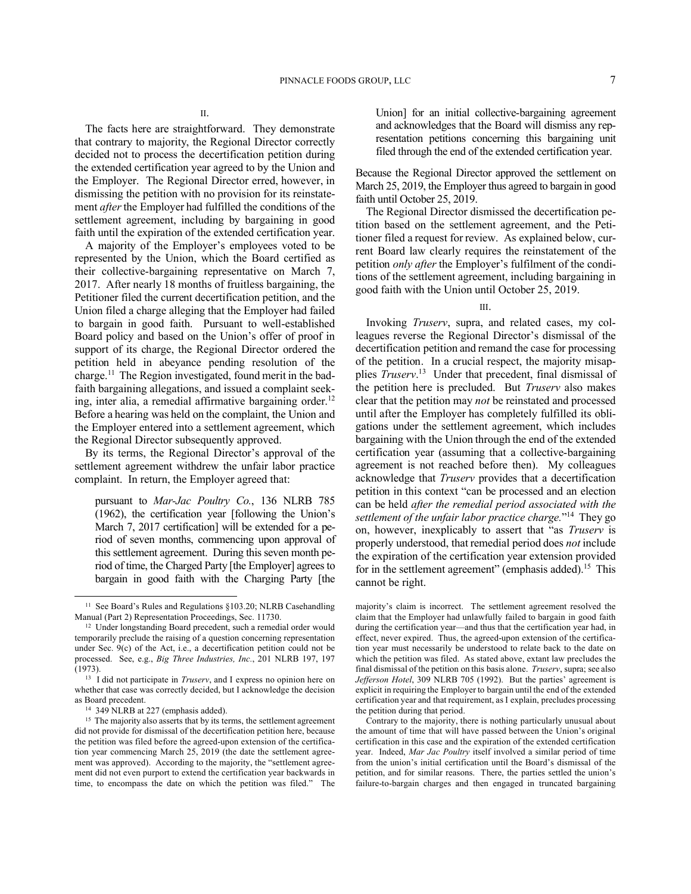The facts here are straightforward. They demonstrate that contrary to majority, the Regional Director correctly decided not to process the decertification petition during the extended certification year agreed to by the Union and the Employer. The Regional Director erred, however, in dismissing the petition with no provision for its reinstatement *after*the Employer had fulfilled the conditions of the settlement agreement, including by bargaining in good faith until the expiration of the extended certification year.

A majority of the Employer's employees voted to be represented by the Union, which the Board certified as their collective-bargaining representative on March 7, 2017. After nearly 18 months of fruitless bargaining, the Petitioner filed the current decertification petition, and the Union filed a charge alleging that the Employer had failed to bargain in good faith. Pursuant to well-established Board policy and based on the Union's offer of proof in support of its charge, the Regional Director ordered the petition held in abeyance pending resolution of the charge.<sup>11</sup> The Region investigated, found merit in the badfaith bargaining allegations, and issued a complaint seeking, inter alia, a remedial affirmative bargaining order.<sup>12</sup> Before a hearing was held on the complaint, the Union and the Employer entered into a settlement agreement, which the Regional Director subsequently approved.

By its terms, the Regional Director's approval of the settlement agreement withdrew the unfair labor practice complaint. In return, the Employer agreed that:

pursuant to *Mar-Jac Poultry Co.*, 136 NLRB 785 (1962), the certification year [following the Union's March 7, 2017 certification] will be extended for a period of seven months, commencing upon approval of this settlement agreement. During this seven month period of time, the Charged Party [the Employer] agrees to bargain in good faith with the Charging Party [the

-

Union] for an initial collective-bargaining agreement and acknowledges that the Board will dismiss any representation petitions concerning this bargaining unit filed through the end of the extended certification year.

Because the Regional Director approved the settlement on March 25, 2019, the Employer thus agreed to bargain in good faith until October 25, 2019.

The Regional Director dismissed the decertification petition based on the settlement agreement, and the Petitioner filed a request for review. As explained below, current Board law clearly requires the reinstatement of the petition *only after* the Employer's fulfilment of the conditions of the settlement agreement, including bargaining in good faith with the Union until October 25, 2019.

### III.

Invoking *Truserv*, supra, and related cases, my colleagues reverse the Regional Director's dismissal of the decertification petition and remand the case for processing of the petition. In a crucial respect, the majority misapplies *Truserv*. 13 Under that precedent, final dismissal of the petition here is precluded. But *Truserv* also makes clear that the petition may *not* be reinstated and processed until after the Employer has completely fulfilled its obligations under the settlement agreement, which includes bargaining with the Union through the end of the extended certification year (assuming that a collective-bargaining agreement is not reached before then). My colleagues acknowledge that *Truserv* provides that a decertification petition in this context "can be processed and an election can be held *after the remedial period associated with the*  settlement of the unfair labor practice charge."<sup>14</sup> They go on, however, inexplicably to assert that "as *Truserv* is properly understood, that remedial period does *not* include the expiration of the certification year extension provided for in the settlement agreement" (emphasis added).<sup>15</sup> This cannot be right.

<sup>&</sup>lt;sup>11</sup> See Board's Rules and Regulations §103.20; NLRB Casehandling Manual (Part 2) Representation Proceedings, Sec. 11730.

<sup>12</sup> Under longstanding Board precedent, such a remedial order would temporarily preclude the raising of a question concerning representation under Sec. 9(c) of the Act, i.e., a decertification petition could not be processed. See, e.g., *Big Three Industries, Inc.*, 201 NLRB 197, 197 (1973).

<sup>13</sup> I did not participate in *Truserv*, and I express no opinion here on whether that case was correctly decided, but I acknowledge the decision as Board precedent.

<sup>&</sup>lt;sup>14</sup> 349 NLRB at 227 (emphasis added).

<sup>&</sup>lt;sup>15</sup> The majority also asserts that by its terms, the settlement agreement did not provide for dismissal of the decertification petition here, because the petition was filed before the agreed-upon extension of the certification year commencing March 25, 2019 (the date the settlement agreement was approved). According to the majority, the "settlement agreement did not even purport to extend the certification year backwards in time, to encompass the date on which the petition was filed." The

majority's claim is incorrect. The settlement agreement resolved the claim that the Employer had unlawfully failed to bargain in good faith during the certification year—and thus that the certification year had, in effect, never expired. Thus, the agreed-upon extension of the certification year must necessarily be understood to relate back to the date on which the petition was filed. As stated above, extant law precludes the final dismissal of the petition on this basis alone. *Truserv*, supra; see also *Jefferson Hotel*, 309 NLRB 705 (1992). But the parties' agreement is explicit in requiring the Employer to bargain until the end of the extended certification year and that requirement, as I explain, precludes processing the petition during that period.

Contrary to the majority, there is nothing particularly unusual about the amount of time that will have passed between the Union's original certification in this case and the expiration of the extended certification year. Indeed, *Mar Jac Poultry* itself involved a similar period of time from the union's initial certification until the Board's dismissal of the petition, and for similar reasons. There, the parties settled the union's failure-to-bargain charges and then engaged in truncated bargaining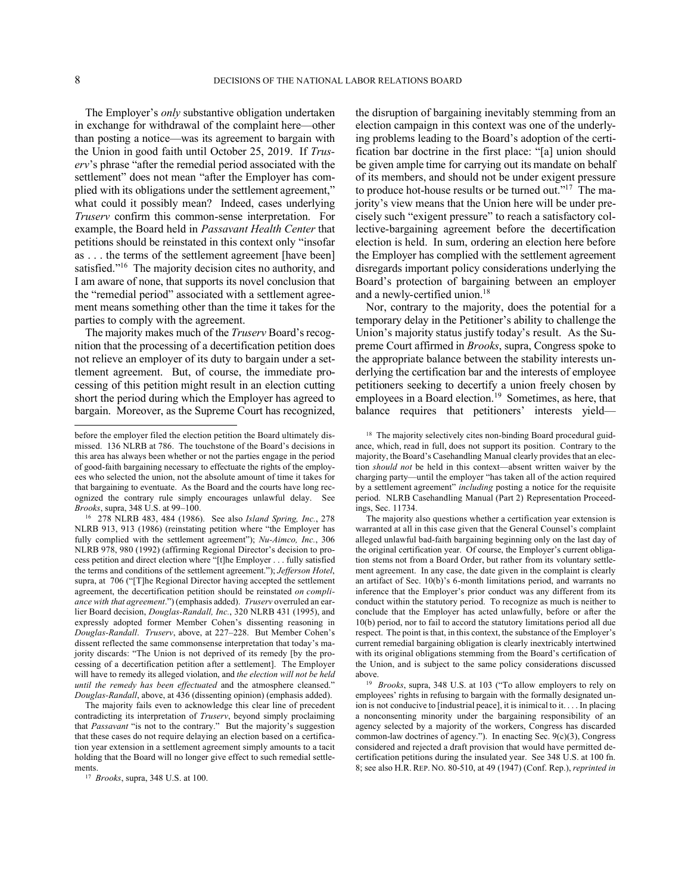The Employer's *only* substantive obligation undertaken in exchange for withdrawal of the complaint here—other than posting a notice—was its agreement to bargain with the Union in good faith until October 25, 2019. If *Truserv*'s phrase "after the remedial period associated with the settlement" does not mean "after the Employer has complied with its obligations under the settlement agreement," what could it possibly mean? Indeed, cases underlying *Truserv* confirm this common-sense interpretation. For example, the Board held in *Passavant Health Center* that petitions should be reinstated in this context only "insofar as . . . the terms of the settlement agreement [have been] satisfied."<sup>16</sup> The majority decision cites no authority, and I am aware of none, that supports its novel conclusion that the "remedial period" associated with a settlement agreement means something other than the time it takes for the parties to comply with the agreement.

The majority makes much of the *Truserv* Board's recognition that the processing of a decertification petition does not relieve an employer of its duty to bargain under a settlement agreement. But, of course, the immediate processing of this petition might result in an election cutting short the period during which the Employer has agreed to bargain. Moreover, as the Supreme Court has recognized, the disruption of bargaining inevitably stemming from an election campaign in this context was one of the underlying problems leading to the Board's adoption of the certification bar doctrine in the first place: "[a] union should be given ample time for carrying out its mandate on behalf of its members, and should not be under exigent pressure to produce hot-house results or be turned out."<sup>17</sup> The majority's view means that the Union here will be under precisely such "exigent pressure" to reach a satisfactory collective-bargaining agreement before the decertification election is held. In sum, ordering an election here before the Employer has complied with the settlement agreement disregards important policy considerations underlying the Board's protection of bargaining between an employer and a newly-certified union.<sup>18</sup>

Nor, contrary to the majority, does the potential for a temporary delay in the Petitioner's ability to challenge the Union's majority status justify today's result. As the Supreme Court affirmed in *Brooks*, supra, Congress spoke to the appropriate balance between the stability interests underlying the certification bar and the interests of employee petitioners seeking to decertify a union freely chosen by employees in a Board election.<sup>19</sup> Sometimes, as here, that balance requires that petitioners' interests yield—

before the employer filed the election petition the Board ultimately dismissed. 136 NLRB at 786. The touchstone of the Board's decisions in this area has always been whether or not the parties engage in the period of good-faith bargaining necessary to effectuate the rights of the employees who selected the union, not the absolute amount of time it takes for that bargaining to eventuate. As the Board and the courts have long recognized the contrary rule simply encourages unlawful delay. See *Brooks*, supra, 348 U.S. at 99–100.

<sup>16</sup> 278 NLRB 483, 484 (1986). See also *Island Spring, Inc.*, 278 NLRB 913, 913 (1986) (reinstating petition where "the Employer has fully complied with the settlement agreement"); *Nu-Aimco, Inc.*, 306 NLRB 978, 980 (1992) (affirming Regional Director's decision to process petition and direct election where "[t]he Employer . . . fully satisfied the terms and conditions of the settlement agreement."); *Jefferson Hotel*, supra, at 706 ("[T]he Regional Director having accepted the settlement agreement, the decertification petition should be reinstated *on compliance with that agreement*.") (emphasis added). *Truserv* overruled an earlier Board decision, *Douglas-Randall, Inc.*, 320 NLRB 431 (1995), and expressly adopted former Member Cohen's dissenting reasoning in *Douglas-Randall*. *Truserv*, above, at 227–228. But Member Cohen's dissent reflected the same commonsense interpretation that today's majority discards: "The Union is not deprived of its remedy [by the processing of a decertification petition after a settlement]. The Employer will have to remedy its alleged violation, and *the election will not be held until the remedy has been effectuated* and the atmosphere cleansed." *Douglas-Randall*, above, at 436 (dissenting opinion) (emphasis added).

The majority fails even to acknowledge this clear line of precedent contradicting its interpretation of *Truserv*, beyond simply proclaiming that *Passavant* "is not to the contrary." But the majority's suggestion that these cases do not require delaying an election based on a certification year extension in a settlement agreement simply amounts to a tacit holding that the Board will no longer give effect to such remedial settlements.

<sup>17</sup> *Brooks*, supra, 348 U.S. at 100.

<sup>&</sup>lt;sup>18</sup> The majority selectively cites non-binding Board procedural guidance, which, read in full, does not support its position. Contrary to the majority, the Board's Casehandling Manual clearly provides that an election *should not* be held in this context—absent written waiver by the charging party—until the employer "has taken all of the action required by a settlement agreement" *including* posting a notice for the requisite period. NLRB Casehandling Manual (Part 2) Representation Proceedings, Sec. 11734.

The majority also questions whether a certification year extension is warranted at all in this case given that the General Counsel's complaint alleged unlawful bad-faith bargaining beginning only on the last day of the original certification year. Of course, the Employer's current obligation stems not from a Board Order, but rather from its voluntary settlement agreement. In any case, the date given in the complaint is clearly an artifact of Sec. 10(b)'s 6-month limitations period, and warrants no inference that the Employer's prior conduct was any different from its conduct within the statutory period. To recognize as much is neither to conclude that the Employer has acted unlawfully, before or after the 10(b) period, nor to fail to accord the statutory limitations period all due respect. The point is that, in this context, the substance of the Employer's current remedial bargaining obligation is clearly inextricably intertwined with its original obligations stemming from the Board's certification of the Union, and is subject to the same policy considerations discussed above.

<sup>19</sup> *Brooks*, supra, 348 U.S. at 103 ("To allow employers to rely on employees' rights in refusing to bargain with the formally designated union is not conducive to [industrial peace], it is inimical to it. . . . In placing a nonconsenting minority under the bargaining responsibility of an agency selected by a majority of the workers, Congress has discarded common-law doctrines of agency."). In enacting Sec. 9(c)(3), Congress considered and rejected a draft provision that would have permitted decertification petitions during the insulated year. See 348 U.S. at 100 fn. 8; see also H.R. REP. NO. 80-510, at 49 (1947) (Conf. Rep.), *reprinted in*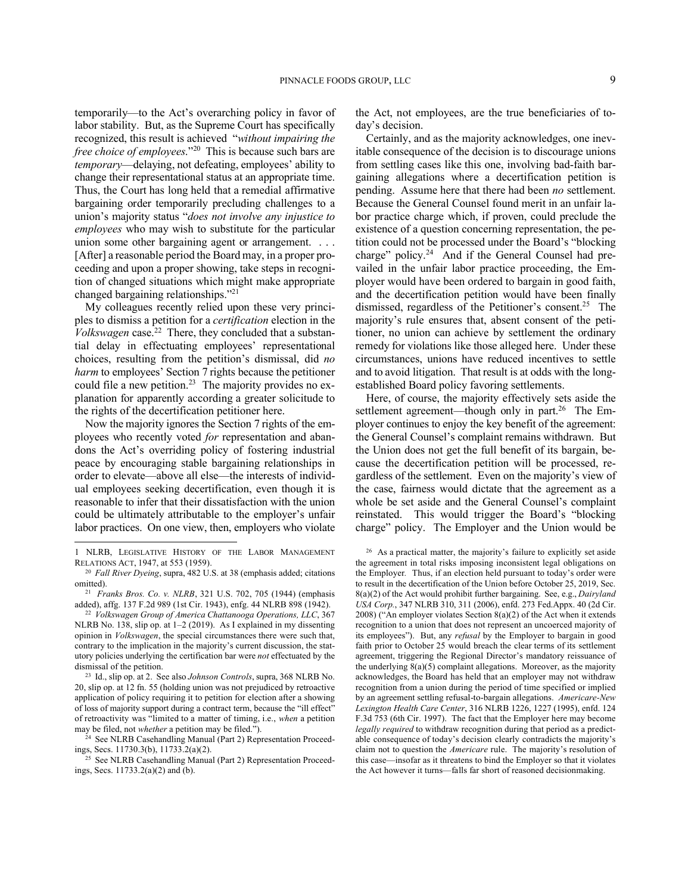temporarily—to the Act's overarching policy in favor of labor stability. But, as the Supreme Court has specifically recognized, this result is achieved "*without impairing the free choice of employees*."<sup>20</sup> This is because such bars are *temporary*—delaying, not defeating, employees' ability to change their representational status at an appropriate time. Thus, the Court has long held that a remedial affirmative bargaining order temporarily precluding challenges to a union's majority status "*does not involve any injustice to employees* who may wish to substitute for the particular union some other bargaining agent or arrangement. . . . [After] a reasonable period the Board may, in a proper proceeding and upon a proper showing, take steps in recognition of changed situations which might make appropriate changed bargaining relationships."<sup>21</sup>

My colleagues recently relied upon these very principles to dismiss a petition for a *certification* election in the Volkswagen case.<sup>22</sup> There, they concluded that a substantial delay in effectuating employees' representational choices, resulting from the petition's dismissal, did *no harm* to employees' Section 7 rights because the petitioner could file a new petition.<sup>23</sup> The majority provides no explanation for apparently according a greater solicitude to the rights of the decertification petitioner here.

Now the majority ignores the Section 7 rights of the employees who recently voted *for* representation and abandons the Act's overriding policy of fostering industrial peace by encouraging stable bargaining relationships in order to elevate—above all else—the interests of individual employees seeking decertification, even though it is reasonable to infer that their dissatisfaction with the union could be ultimately attributable to the employer's unfair labor practices. On one view, then, employers who violate

-

the Act, not employees, are the true beneficiaries of today's decision.

Certainly, and as the majority acknowledges, one inevitable consequence of the decision is to discourage unions from settling cases like this one, involving bad-faith bargaining allegations where a decertification petition is pending. Assume here that there had been *no* settlement. Because the General Counsel found merit in an unfair labor practice charge which, if proven, could preclude the existence of a question concerning representation, the petition could not be processed under the Board's "blocking charge" policy.<sup>24</sup> And if the General Counsel had prevailed in the unfair labor practice proceeding, the Employer would have been ordered to bargain in good faith, and the decertification petition would have been finally dismissed, regardless of the Petitioner's consent.<sup>25</sup> The majority's rule ensures that, absent consent of the petitioner, no union can achieve by settlement the ordinary remedy for violations like those alleged here. Under these circumstances, unions have reduced incentives to settle and to avoid litigation. That result is at odds with the longestablished Board policy favoring settlements.

Here, of course, the majority effectively sets aside the settlement agreement—though only in part.<sup>26</sup> The Employer continues to enjoy the key benefit of the agreement: the General Counsel's complaint remains withdrawn. But the Union does not get the full benefit of its bargain, because the decertification petition will be processed, regardless of the settlement. Even on the majority's view of the case, fairness would dictate that the agreement as a whole be set aside and the General Counsel's complaint reinstated. This would trigger the Board's "blocking charge" policy. The Employer and the Union would be

<sup>1</sup> NLRB, LEGISLATIVE HISTORY OF THE LABOR MANAGEMENT RELATIONS ACT, 1947, at 553 (1959).

<sup>20</sup> *Fall River Dyeing*, supra, 482 U.S. at 38 (emphasis added; citations omitted).

<sup>21</sup> *Franks Bros. Co. v. NLRB*, 321 U.S. 702, 705 (1944) (emphasis added), affg. 137 F.2d 989 (1st Cir. 1943), enfg. 44 NLRB 898 (1942).

<sup>22</sup> *Volkswagen Group of America Chattanooga Operations, LLC*, 367 NLRB No. 138, slip op. at 1–2 (2019). As I explained in my dissenting opinion in *Volkswagen*, the special circumstances there were such that, contrary to the implication in the majority's current discussion, the statutory policies underlying the certification bar were *not* effectuated by the dismissal of the petition.

<sup>23</sup> Id., slip op. at 2. See also *Johnson Controls*, supra, 368 NLRB No. 20, slip op. at 12 fn. 55 (holding union was not prejudiced by retroactive application of policy requiring it to petition for election after a showing of loss of majority support during a contract term, because the "ill effect" of retroactivity was "limited to a matter of timing, i.e., *when* a petition may be filed, not *whether* a petition may be filed.").

<sup>24</sup> See NLRB Casehandling Manual (Part 2) Representation Proceedings, Secs. 11730.3(b), 11733.2(a)(2).

<sup>&</sup>lt;sup>25</sup> See NLRB Casehandling Manual (Part 2) Representation Proceedings, Secs. 11733.2(a)(2) and (b).

<sup>26</sup> As a practical matter, the majority's failure to explicitly set aside the agreement in total risks imposing inconsistent legal obligations on the Employer*.* Thus, if an election held pursuant to today's order were to result in the decertification of the Union before October 25, 2019, Sec. 8(a)(2) of the Act would prohibit further bargaining. See, e.g., *Dairyland USA Corp.*, 347 NLRB 310, 311 (2006), enfd. 273 Fed.Appx. 40 (2d Cir. 2008) ("An employer violates Section 8(a)(2) of the Act when it extends recognition to a union that does not represent an uncoerced majority of its employees"). But, any *refusal* by the Employer to bargain in good faith prior to October 25 would breach the clear terms of its settlement agreement, triggering the Regional Director's mandatory reissuance of the underlying  $8(a)(5)$  complaint allegations. Moreover, as the majority acknowledges, the Board has held that an employer may not withdraw recognition from a union during the period of time specified or implied by an agreement settling refusal-to-bargain allegations. *Americare-New Lexington Health Care Center*, 316 NLRB 1226, 1227 (1995), enfd. 124 F.3d 753 (6th Cir. 1997). The fact that the Employer here may become *legally required* to withdraw recognition during that period as a predictable consequence of today's decision clearly contradicts the majority's claim not to question the *Americare* rule. The majority's resolution of this case—insofar as it threatens to bind the Employer so that it violates the Act however it turns—falls far short of reasoned decisionmaking.